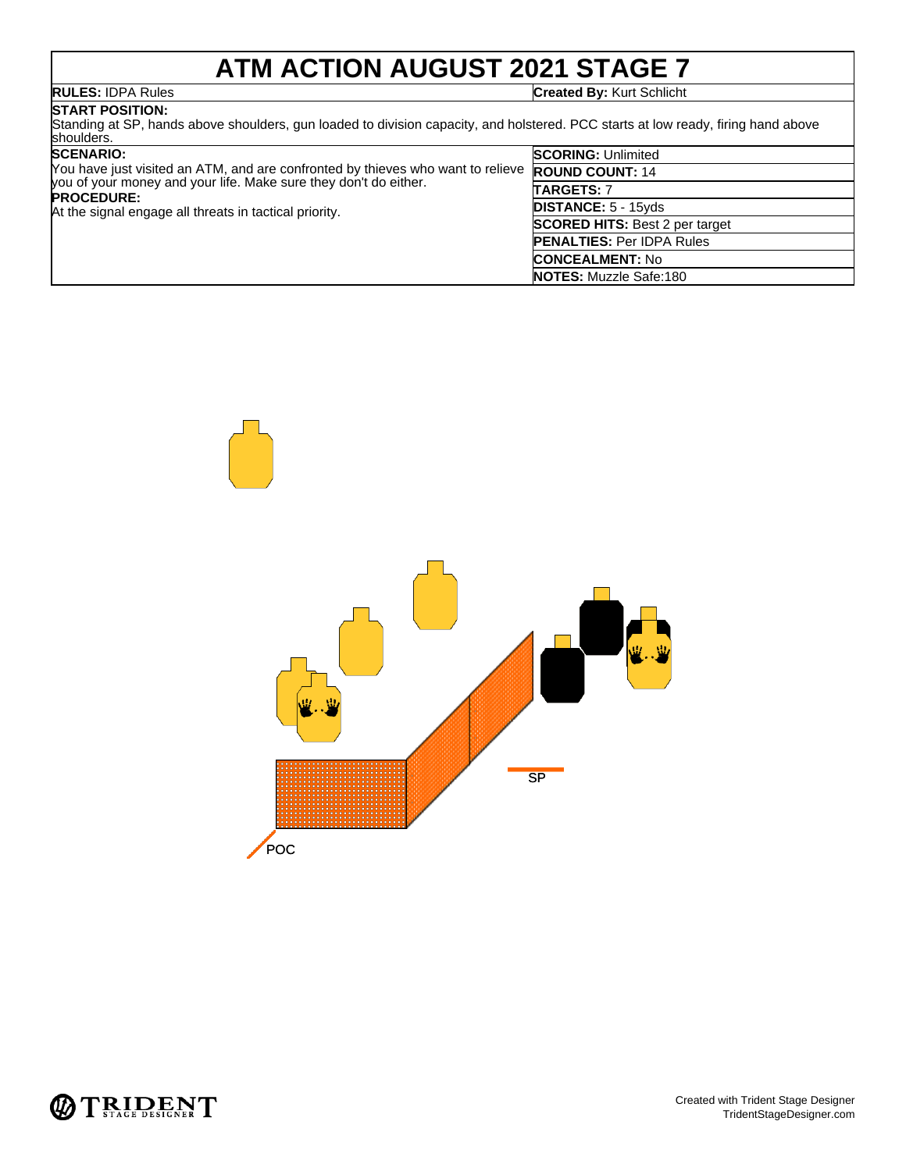## **ATM ACTION AUGUST 2021 STAGE 7**

**RULES:** IDPA Rules **Created By:** Kurt Schlicht

### **START POSITION:**

Standing at SP, hands above shoulders, gun loaded to division capacity, and holstered. PCC starts at low ready, firing hand above shoulders.

| <b>SCENARIO:</b><br>You have just visited an ATM, and are confronted by thieves who want to relieve<br>you of your money and your life. Make sure they don't do either.<br><b>PROCEDURE:</b><br>At the signal engage all threats in tactical priority. | <b>SCORING: Unlimited</b>             |
|--------------------------------------------------------------------------------------------------------------------------------------------------------------------------------------------------------------------------------------------------------|---------------------------------------|
|                                                                                                                                                                                                                                                        | <b>ROUND COUNT: 14</b>                |
|                                                                                                                                                                                                                                                        | <b>TARGETS: 7</b>                     |
|                                                                                                                                                                                                                                                        | <b>DISTANCE: 5 - 15yds</b>            |
|                                                                                                                                                                                                                                                        | <b>SCORED HITS: Best 2 per target</b> |
|                                                                                                                                                                                                                                                        | <b>PENALTIES: Per IDPA Rules</b>      |
|                                                                                                                                                                                                                                                        | <b>CONCEALMENT: No</b>                |
|                                                                                                                                                                                                                                                        | <b>NOTES:</b> Muzzle Safe:180         |



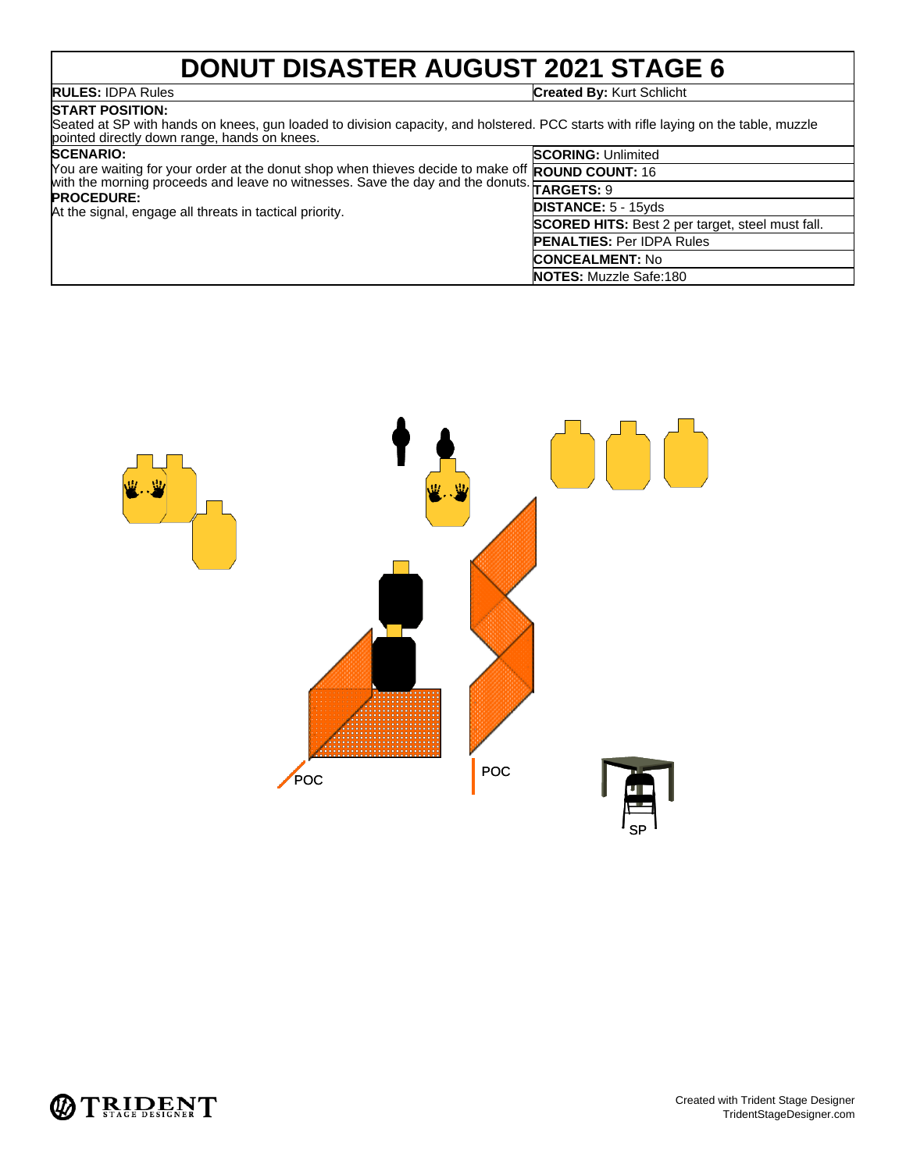### **DONUT DISASTER AUGUST 2021 STAGE 6**

**RULES:** IDPA Rules **Created By:** Kurt Schlicht

### **START POSITION:** Seated at SP with hands on knees, gun loaded to division capacity, and holstered. PCC starts with rifle laying on the table, muzzle pointed directly down range, hands on knees.

| <b>SCENARIO:</b><br>You are waiting for your order at the donut shop when thieves decide to make off ROUND COUNT: 16<br>with the morning proceeds and leave no witnesses. Save the day and the donuts.<br><b>PROCEDURE:</b><br>At the signal, engage all threats in tactical priority. | <b>SCORING: Unlimited</b>                               |
|----------------------------------------------------------------------------------------------------------------------------------------------------------------------------------------------------------------------------------------------------------------------------------------|---------------------------------------------------------|
|                                                                                                                                                                                                                                                                                        |                                                         |
|                                                                                                                                                                                                                                                                                        |                                                         |
|                                                                                                                                                                                                                                                                                        | <b>DISTANCE: 5 - 15yds</b>                              |
|                                                                                                                                                                                                                                                                                        | <b>SCORED HITS:</b> Best 2 per target, steel must fall. |
|                                                                                                                                                                                                                                                                                        | <b>PENALTIES: Per IDPA Rules</b>                        |
|                                                                                                                                                                                                                                                                                        | <b>CONCEALMENT: No</b>                                  |
|                                                                                                                                                                                                                                                                                        | <b>NOTES:</b> Muzzle Safe:180                           |



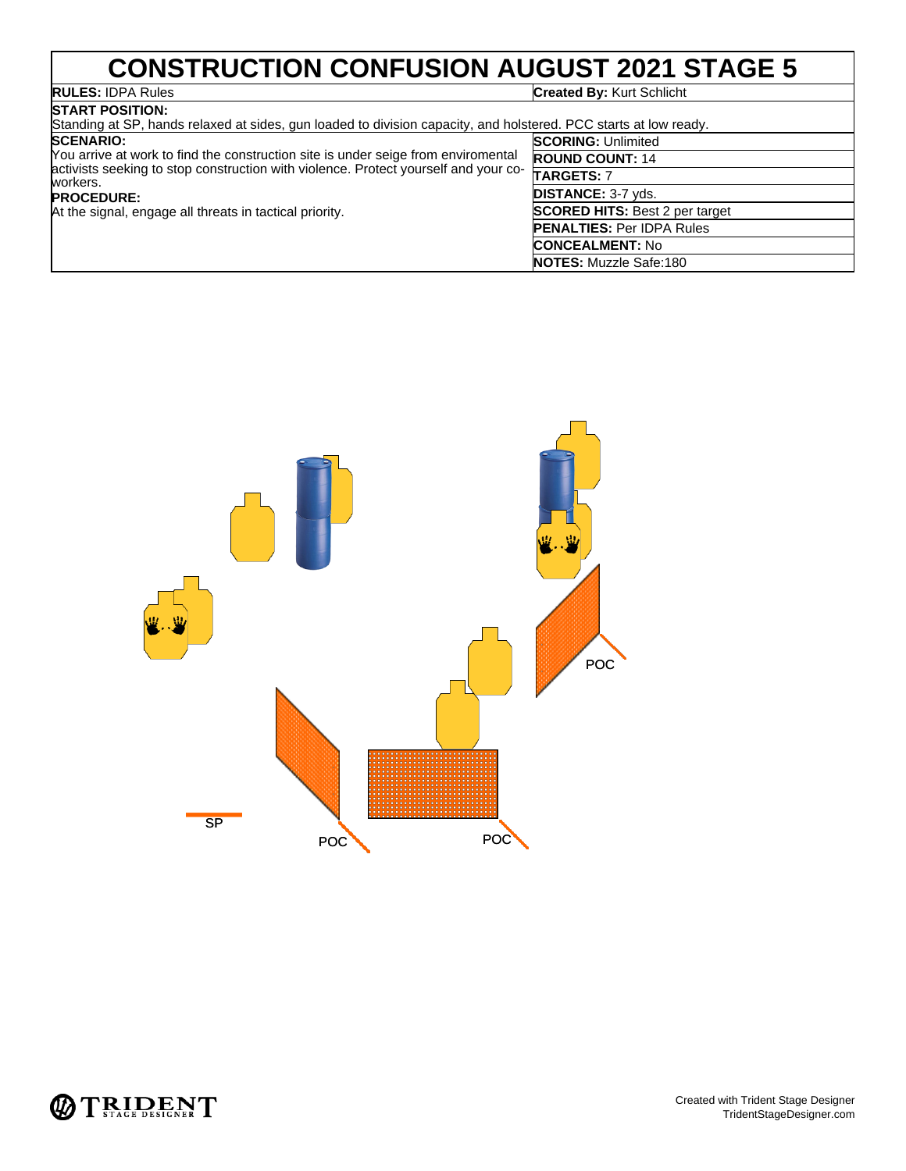## **CONSTRUCTION CONFUSION AUGUST 2021 STAGE 5**

## **RULES: IDPA Rules**<br>**START POSITION:**

### **Created By: Kurt Schlicht**

| .<br>Standing at SP, hands relaxed at sides, gun loaded to division capacity, and holstered. PCC starts at low ready.                                                                                                                                                                    |                                                                                                                                                                                                                                               |
|------------------------------------------------------------------------------------------------------------------------------------------------------------------------------------------------------------------------------------------------------------------------------------------|-----------------------------------------------------------------------------------------------------------------------------------------------------------------------------------------------------------------------------------------------|
| <b>SCENARIO:</b><br>You arrive at work to find the construction site is under seige from enviromental<br>activists seeking to stop construction with violence. Protect yourself and your co-<br>workers.<br><b>PROCEDURE:</b><br>At the signal, engage all threats in tactical priority. | <b>SCORING: Unlimited</b><br><b>ROUND COUNT: 14</b><br><b>TARGETS: 7</b><br><b>DISTANCE: 3-7 yds.</b><br><b>SCORED HITS: Best 2 per target</b><br><b>PENALTIES: Per IDPA Rules</b><br><b>CONCEALMENT: No</b><br><b>NOTES:</b> Muzzle Safe:180 |



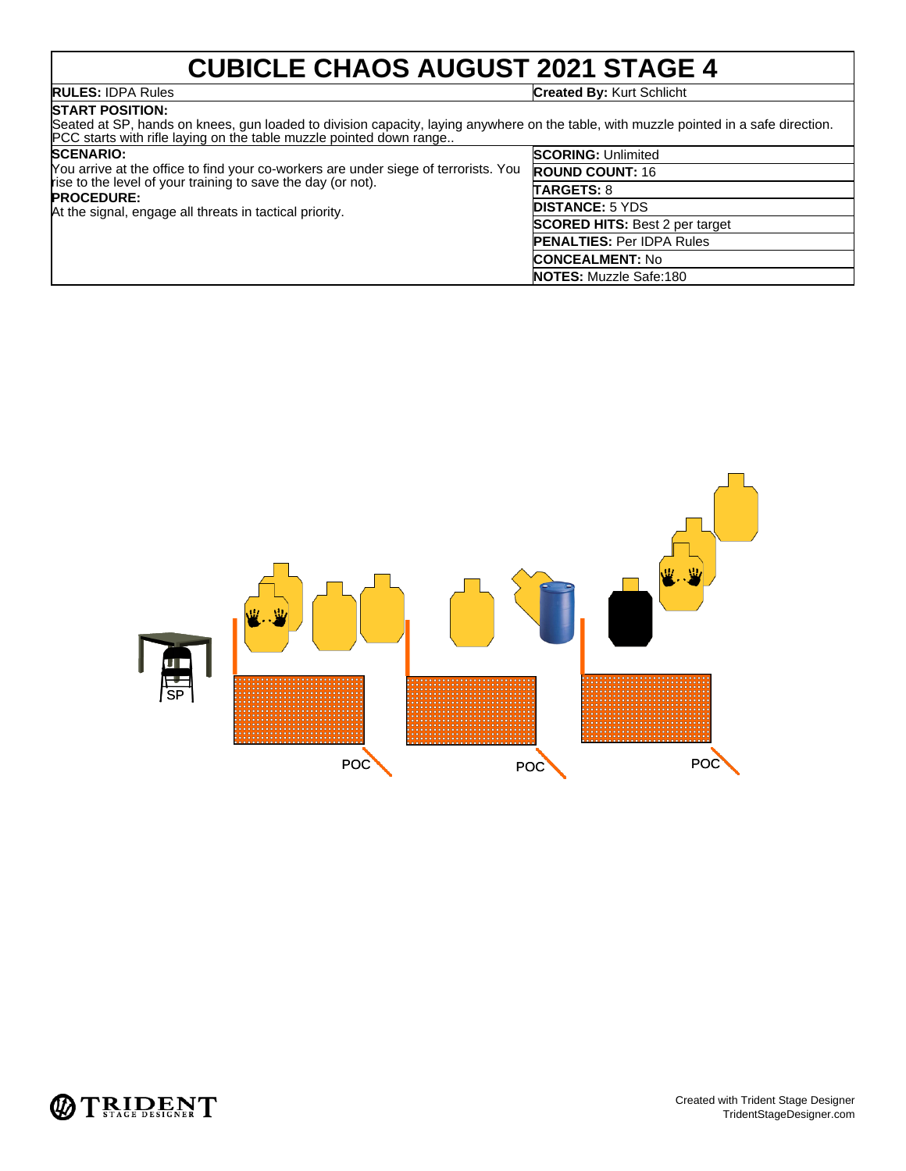# **CUBICLE CHAOS AUGUST 2021 STAGE 4**<br>Created By: Kurt Schlicht

**RULES:** IDPA Rules **Created By:** Kurt Schlicht

### **START POSITION:**

Seated at SP, hands on knees, gun loaded to division capacity, laying anywhere on the table, with muzzle pointed in a safe direction. PCC starts with rifle laying on the table muzzle pointed down range..

| <b>SCENARIO:</b> |  |
|------------------|--|
|                  |  |

| <b>SCENARIO:</b><br>You arrive at the office to find your co-workers are under siege of terrorists. You<br>rise to the level of your training to save the day (or not).<br><b>PROCEDURE:</b><br>At the signal, engage all threats in tactical priority. | <b>SCORING: Unlimited</b>             |
|---------------------------------------------------------------------------------------------------------------------------------------------------------------------------------------------------------------------------------------------------------|---------------------------------------|
|                                                                                                                                                                                                                                                         | <b>ROUND COUNT: 16</b>                |
|                                                                                                                                                                                                                                                         | <b>TARGETS: 8</b>                     |
|                                                                                                                                                                                                                                                         | <b>DISTANCE: 5 YDS</b>                |
|                                                                                                                                                                                                                                                         | <b>SCORED HITS:</b> Best 2 per target |
|                                                                                                                                                                                                                                                         | <b>PENALTIES: Per IDPA Rules</b>      |
|                                                                                                                                                                                                                                                         | <b>CONCEALMENT: No</b>                |
|                                                                                                                                                                                                                                                         | <b>NOTES:</b> Muzzle Safe:180         |



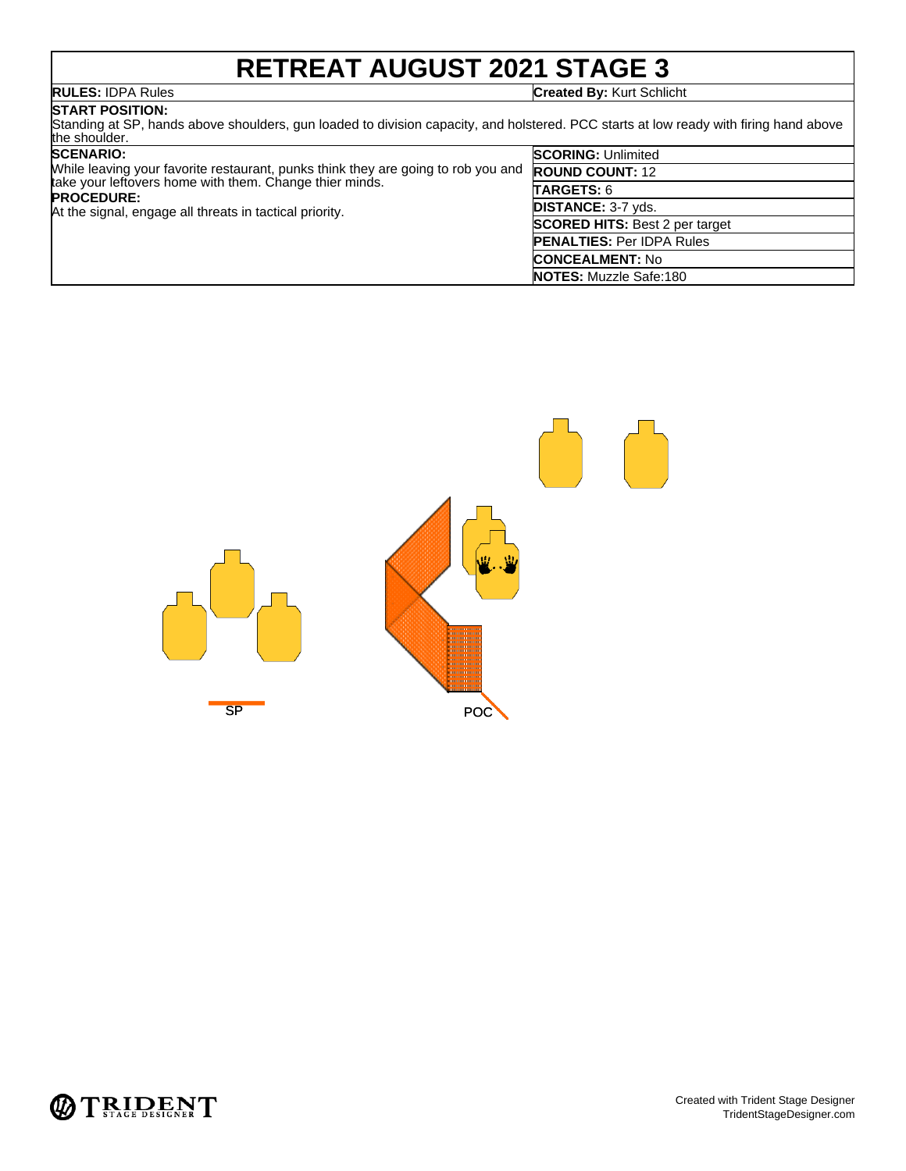## **RETREAT AUGUST 2021 STAGE 3**

**RULES:** IDPA Rules **Created By:** Kurt Schlicht

### **START POSITION:**

Standing at SP, hands above shoulders, gun loaded to division capacity, and holstered. PCC starts at low ready with firing hand above the shoulder.

|                                                                              | <b>SCENARIO:</b>                                                                  | <b>SCORING: Unlimited</b>             |
|------------------------------------------------------------------------------|-----------------------------------------------------------------------------------|---------------------------------------|
|                                                                              | While leaving your favorite restaurant, punks think they are going to rob you and | <b>ROUND COUNT: 12</b>                |
| take your leftovers home with them. Change thier minds.<br><b>PROCEDURE:</b> | <b>TARGETS: 6</b>                                                                 |                                       |
|                                                                              | At the signal, engage all threats in tactical priority.                           | <b>DISTANCE: 3-7 yds.</b>             |
|                                                                              |                                                                                   | <b>SCORED HITS: Best 2 per target</b> |
|                                                                              |                                                                                   | <b>PENALTIES: Per IDPA Rules</b>      |
|                                                                              |                                                                                   | <b>CONCEALMENT: No</b>                |
|                                                                              |                                                                                   | <b>NOTES:</b> Muzzle Safe:180         |



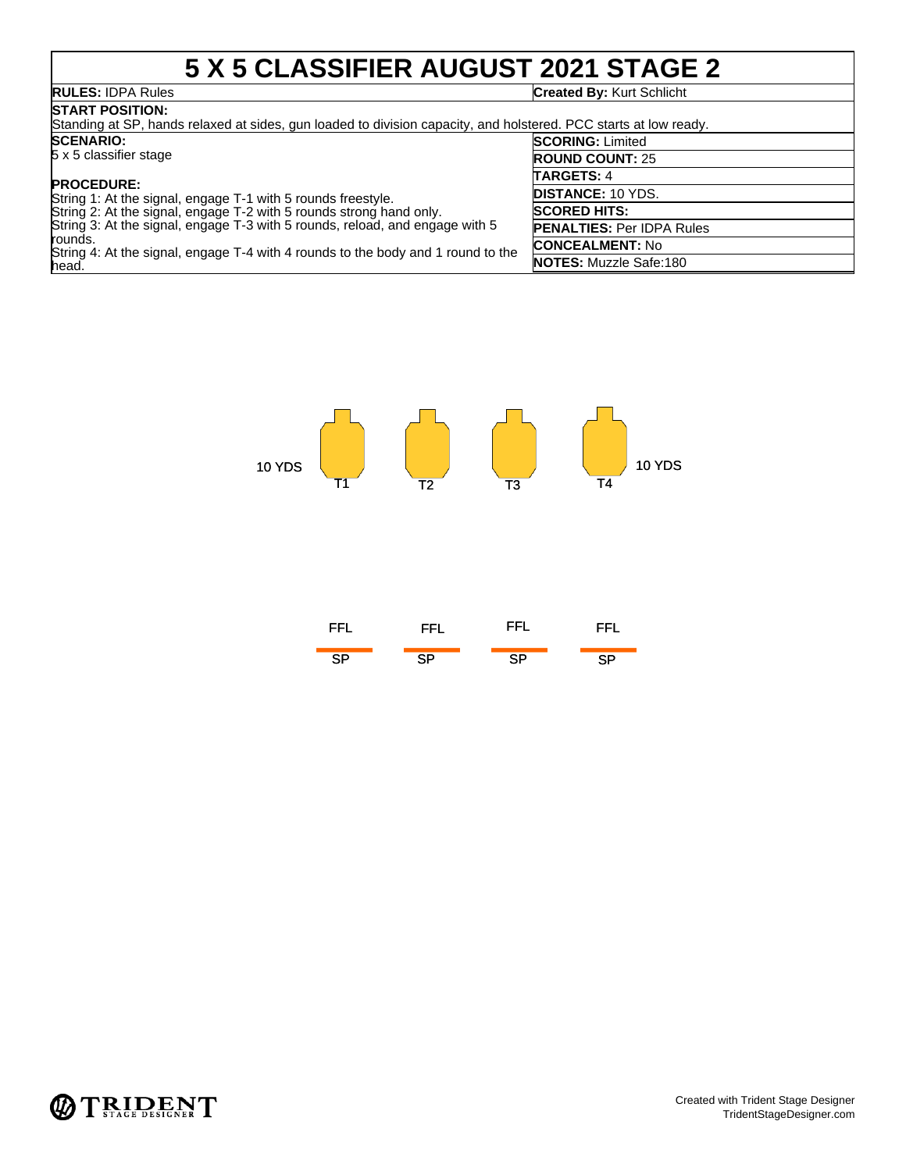## **5 X 5 CLASSIFIER AUGUST 2021 STAGE 2**

## **RULES: IDPA Rules**<br>START POSITION:

### **Created By: Kurt Schlicht**

| BIARI PUSHUN.<br>Standing at SP, hands relaxed at sides, gun loaded to division capacity, and holstered. PCC starts at low ready.                                                                                                                           |                                  |  |
|-------------------------------------------------------------------------------------------------------------------------------------------------------------------------------------------------------------------------------------------------------------|----------------------------------|--|
| <b>SCENARIO:</b>                                                                                                                                                                                                                                            | <b>SCORING: Limited</b>          |  |
| 5 x 5 classifier stage                                                                                                                                                                                                                                      | <b>ROUND COUNT: 25</b>           |  |
| <b>PROCEDURE:</b>                                                                                                                                                                                                                                           | <b>TARGETS: 4</b>                |  |
| String 1: At the signal, engage T-1 with 5 rounds freestyle.                                                                                                                                                                                                | <b>DISTANCE: 10 YDS.</b>         |  |
| String 2: At the signal, engage T-2 with 5 rounds strong hand only.<br>String 3: At the signal, engage T-3 with 5 rounds, reload, and engage with 5<br>rounds.<br>String 4: At the signal, engage T-4 with 4 rounds to the body and 1 round to the<br>head. | <b>SCORED HITS:</b>              |  |
|                                                                                                                                                                                                                                                             | <b>PENALTIES: Per IDPA Rules</b> |  |
|                                                                                                                                                                                                                                                             | <b>CONCEALMENT: No</b>           |  |
|                                                                                                                                                                                                                                                             | <b>NOTES:</b> Muzzle Safe:180    |  |